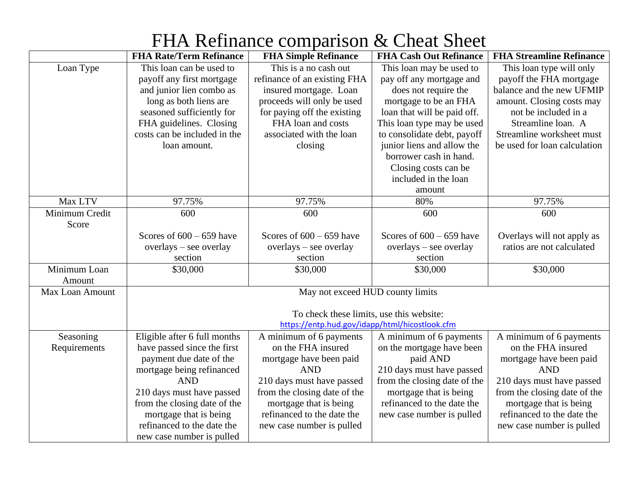|                        | <b>FHA Rate/Term Refinance</b>           | <b>FHA Simple Refinance</b>                    | <b>FHA Cash Out Refinance</b> | <b>FHA Streamline Refinance</b> |
|------------------------|------------------------------------------|------------------------------------------------|-------------------------------|---------------------------------|
| Loan Type              | This loan can be used to                 | This is a no cash out                          | This loan may be used to      | This loan type will only        |
|                        | payoff any first mortgage                | refinance of an existing FHA                   | pay off any mortgage and      | payoff the FHA mortgage         |
|                        | and junior lien combo as                 | insured mortgage. Loan                         | does not require the          | balance and the new UFMIP       |
|                        | long as both liens are                   | proceeds will only be used                     | mortgage to be an FHA         | amount. Closing costs may       |
|                        | seasoned sufficiently for                | for paying off the existing                    | loan that will be paid off.   | not be included in a            |
|                        | FHA guidelines. Closing                  | FHA loan and costs                             | This loan type may be used    | Streamline loan. A              |
|                        | costs can be included in the             | associated with the loan                       | to consolidate debt, payoff   | Streamline worksheet must       |
|                        | loan amount.                             | closing                                        | junior liens and allow the    | be used for loan calculation    |
|                        |                                          |                                                | borrower cash in hand.        |                                 |
|                        |                                          |                                                | Closing costs can be          |                                 |
|                        |                                          |                                                | included in the loan          |                                 |
|                        |                                          |                                                | amount                        |                                 |
| Max LTV                | 97.75%                                   | 97.75%                                         | 80%                           | 97.75%                          |
| Minimum Credit         | 600                                      | 600                                            | 600                           | 600                             |
| Score                  |                                          |                                                |                               |                                 |
|                        | Scores of $600 - 659$ have               | Scores of $600 - 659$ have                     | Scores of $600 - 659$ have    | Overlays will not apply as      |
|                        | overlays - see overlay                   | overlays - see overlay                         | overlays - see overlay        | ratios are not calculated       |
|                        | section                                  | section                                        | section                       |                                 |
| Minimum Loan           | \$30,000                                 | \$30,000                                       | \$30,000                      | \$30,000                        |
| Amount                 |                                          |                                                |                               |                                 |
| <b>Max Loan Amount</b> | May not exceed HUD county limits         |                                                |                               |                                 |
|                        |                                          |                                                |                               |                                 |
|                        | To check these limits, use this website: |                                                |                               |                                 |
|                        |                                          | https://entp.hud.gov/idapp/html/hicostlook.cfm |                               |                                 |
| Seasoning              | Eligible after 6 full months             | A minimum of 6 payments                        | A minimum of 6 payments       | A minimum of 6 payments         |
| Requirements           | have passed since the first              | on the FHA insured                             | on the mortgage have been     | on the FHA insured              |
|                        | payment due date of the                  | mortgage have been paid                        | paid AND                      | mortgage have been paid         |
|                        | mortgage being refinanced                | <b>AND</b>                                     | 210 days must have passed     | <b>AND</b>                      |
|                        | <b>AND</b>                               | 210 days must have passed                      | from the closing date of the  | 210 days must have passed       |
|                        | 210 days must have passed                | from the closing date of the                   | mortgage that is being        | from the closing date of the    |
|                        | from the closing date of the             | mortgage that is being                         | refinanced to the date the    | mortgage that is being          |
|                        | mortgage that is being                   | refinanced to the date the                     | new case number is pulled     | refinanced to the date the      |
|                        | refinanced to the date the               | new case number is pulled                      |                               | new case number is pulled       |
|                        | new case number is pulled                |                                                |                               |                                 |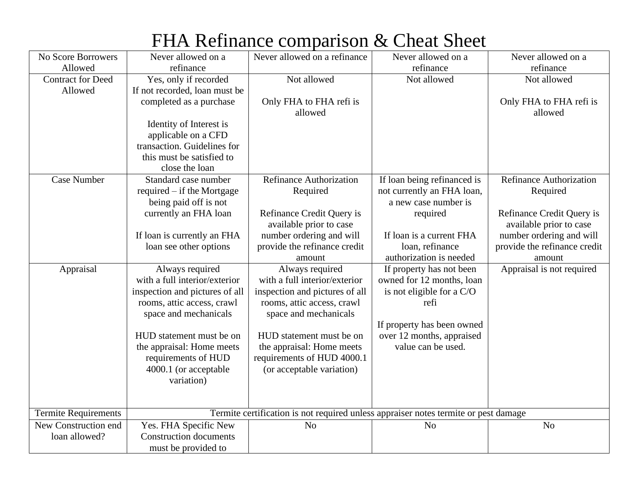| FHA Refinance comparison & Cheat Sheet |  |  |
|----------------------------------------|--|--|
|----------------------------------------|--|--|

| No Score Borrowers          | Never allowed on a             | Never allowed on a refinance                                                        | Never allowed on a                                 | Never allowed on a                                   |
|-----------------------------|--------------------------------|-------------------------------------------------------------------------------------|----------------------------------------------------|------------------------------------------------------|
| Allowed                     | refinance                      |                                                                                     | refinance                                          | refinance                                            |
| <b>Contract for Deed</b>    | Yes, only if recorded          | Not allowed                                                                         | Not allowed                                        | Not allowed                                          |
| Allowed                     | If not recorded, loan must be  |                                                                                     |                                                    |                                                      |
|                             | completed as a purchase        | Only FHA to FHA refi is                                                             |                                                    | Only FHA to FHA refi is                              |
|                             |                                | allowed                                                                             |                                                    | allowed                                              |
|                             | Identity of Interest is        |                                                                                     |                                                    |                                                      |
|                             | applicable on a CFD            |                                                                                     |                                                    |                                                      |
|                             | transaction. Guidelines for    |                                                                                     |                                                    |                                                      |
|                             | this must be satisfied to      |                                                                                     |                                                    |                                                      |
|                             | close the loan                 |                                                                                     |                                                    |                                                      |
| <b>Case Number</b>          | Standard case number           | <b>Refinance Authorization</b>                                                      | If loan being refinanced is                        | <b>Refinance Authorization</b>                       |
|                             | required – if the Mortgage     | Required                                                                            | not currently an FHA loan,<br>a new case number is | Required                                             |
|                             | being paid off is not          | Refinance Credit Query is                                                           |                                                    |                                                      |
|                             | currently an FHA loan          | available prior to case                                                             | required                                           | Refinance Credit Query is<br>available prior to case |
|                             | If loan is currently an FHA    | number ordering and will                                                            | If loan is a current FHA                           | number ordering and will                             |
|                             | loan see other options         | provide the refinance credit                                                        | loan, refinance                                    | provide the refinance credit                         |
|                             |                                | amount                                                                              | authorization is needed                            | amount                                               |
| Appraisal                   | Always required                | Always required                                                                     | If property has not been                           | Appraisal is not required                            |
|                             | with a full interior/exterior  | with a full interior/exterior                                                       | owned for 12 months, loan                          |                                                      |
|                             | inspection and pictures of all | inspection and pictures of all                                                      | is not eligible for a C/O                          |                                                      |
|                             | rooms, attic access, crawl     | rooms, attic access, crawl                                                          | refi                                               |                                                      |
|                             | space and mechanicals          | space and mechanicals                                                               |                                                    |                                                      |
|                             |                                |                                                                                     | If property has been owned                         |                                                      |
|                             | HUD statement must be on       | HUD statement must be on                                                            | over 12 months, appraised                          |                                                      |
|                             | the appraisal: Home meets      | the appraisal: Home meets                                                           | value can be used.                                 |                                                      |
|                             | requirements of HUD            | requirements of HUD 4000.1                                                          |                                                    |                                                      |
|                             | 4000.1 (or acceptable          | (or acceptable variation)                                                           |                                                    |                                                      |
|                             | variation)                     |                                                                                     |                                                    |                                                      |
|                             |                                |                                                                                     |                                                    |                                                      |
|                             |                                |                                                                                     |                                                    |                                                      |
| <b>Termite Requirements</b> |                                | Termite certification is not required unless appraiser notes termite or pest damage |                                                    |                                                      |
| New Construction end        | Yes. FHA Specific New          | N <sub>0</sub>                                                                      | N <sub>o</sub>                                     | N <sub>o</sub>                                       |
| loan allowed?               | <b>Construction documents</b>  |                                                                                     |                                                    |                                                      |
|                             | must be provided to            |                                                                                     |                                                    |                                                      |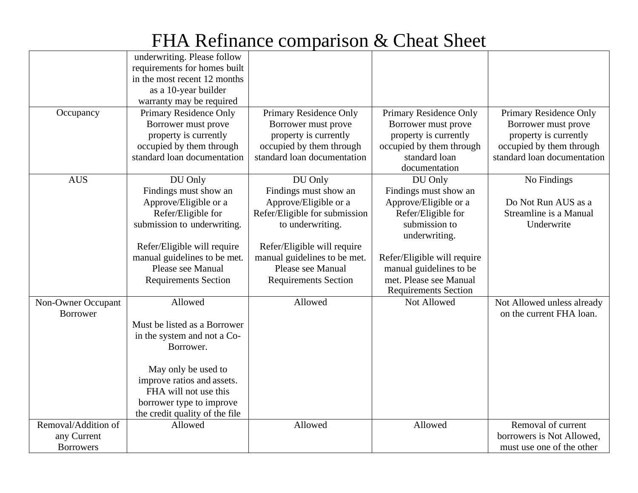| Occupancy                                              | underwriting. Please follow<br>requirements for homes built<br>in the most recent 12 months<br>as a 10-year builder<br>warranty may be required<br>Primary Residence Only<br>Borrower must prove<br>property is currently<br>occupied by them through<br>standard loan documentation | Primary Residence Only<br>Borrower must prove<br>property is currently<br>occupied by them through<br>standard loan documentation                                                                                                 | Primary Residence Only<br>Borrower must prove<br>property is currently<br>occupied by them through<br>standard loan<br>documentation                                                                                                 | Primary Residence Only<br>Borrower must prove<br>property is currently<br>occupied by them through<br>standard loan documentation |
|--------------------------------------------------------|--------------------------------------------------------------------------------------------------------------------------------------------------------------------------------------------------------------------------------------------------------------------------------------|-----------------------------------------------------------------------------------------------------------------------------------------------------------------------------------------------------------------------------------|--------------------------------------------------------------------------------------------------------------------------------------------------------------------------------------------------------------------------------------|-----------------------------------------------------------------------------------------------------------------------------------|
| <b>AUS</b>                                             | DU Only<br>Findings must show an<br>Approve/Eligible or a<br>Refer/Eligible for<br>submission to underwriting.<br>Refer/Eligible will require<br>manual guidelines to be met.<br>Please see Manual<br><b>Requirements Section</b>                                                    | DU Only<br>Findings must show an<br>Approve/Eligible or a<br>Refer/Eligible for submission<br>to underwriting.<br>Refer/Eligible will require<br>manual guidelines to be met.<br>Please see Manual<br><b>Requirements Section</b> | DU Only<br>Findings must show an<br>Approve/Eligible or a<br>Refer/Eligible for<br>submission to<br>underwriting.<br>Refer/Eligible will require<br>manual guidelines to be<br>met. Please see Manual<br><b>Requirements Section</b> | No Findings<br>Do Not Run AUS as a<br>Streamline is a Manual<br>Underwrite                                                        |
| Non-Owner Occupant<br><b>Borrower</b>                  | Allowed<br>Must be listed as a Borrower<br>in the system and not a Co-<br>Borrower.<br>May only be used to<br>improve ratios and assets.<br>FHA will not use this<br>borrower type to improve<br>the credit quality of the file                                                      | Allowed                                                                                                                                                                                                                           | Not Allowed                                                                                                                                                                                                                          | Not Allowed unless already<br>on the current FHA loan.                                                                            |
| Removal/Addition of<br>any Current<br><b>Borrowers</b> | Allowed                                                                                                                                                                                                                                                                              | Allowed                                                                                                                                                                                                                           | Allowed                                                                                                                                                                                                                              | Removal of current<br>borrowers is Not Allowed,<br>must use one of the other                                                      |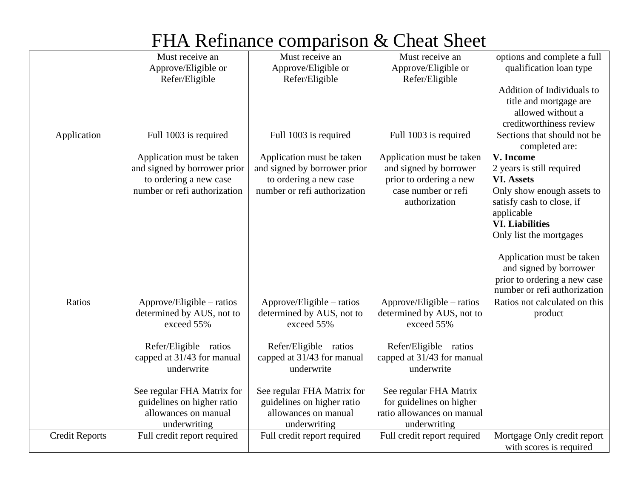|                       | Must receive an              | Must receive an              | Must receive an             | options and complete a full                   |
|-----------------------|------------------------------|------------------------------|-----------------------------|-----------------------------------------------|
|                       | Approve/Eligible or          | Approve/Eligible or          | Approve/Eligible or         | qualification loan type                       |
|                       | Refer/Eligible               | Refer/Eligible               | Refer/Eligible              |                                               |
|                       |                              |                              |                             | Addition of Individuals to                    |
|                       |                              |                              |                             | title and mortgage are                        |
|                       |                              |                              |                             | allowed without a                             |
|                       |                              |                              |                             | creditworthiness review                       |
| Application           | Full 1003 is required        | Full 1003 is required        | Full 1003 is required       | Sections that should not be<br>completed are: |
|                       | Application must be taken    | Application must be taken    | Application must be taken   | V. Income                                     |
|                       | and signed by borrower prior | and signed by borrower prior | and signed by borrower      | 2 years is still required                     |
|                       | to ordering a new case       | to ordering a new case       | prior to ordering a new     | <b>VI.</b> Assets                             |
|                       | number or refi authorization | number or refi authorization | case number or refi         | Only show enough assets to                    |
|                       |                              |                              | authorization               | satisfy cash to close, if                     |
|                       |                              |                              |                             | applicable                                    |
|                       |                              |                              |                             | <b>VI. Liabilities</b>                        |
|                       |                              |                              |                             | Only list the mortgages                       |
|                       |                              |                              |                             |                                               |
|                       |                              |                              |                             | Application must be taken                     |
|                       |                              |                              |                             | and signed by borrower                        |
|                       |                              |                              |                             | prior to ordering a new case                  |
|                       |                              |                              |                             | number or refi authorization                  |
| Ratios                | Approve/Eligible – ratios    | Approve/Eligible – ratios    | Approve/Eligible – ratios   | Ratios not calculated on this                 |
|                       | determined by AUS, not to    | determined by AUS, not to    | determined by AUS, not to   | product                                       |
|                       | exceed 55%                   | exceed 55%                   | exceed 55%                  |                                               |
|                       |                              |                              |                             |                                               |
|                       | Refer/Eligible – ratios      | Refer/Eligible – ratios      | Refer/Eligible – ratios     |                                               |
|                       | capped at 31/43 for manual   | capped at 31/43 for manual   | capped at 31/43 for manual  |                                               |
|                       | underwrite                   | underwrite                   | underwrite                  |                                               |
|                       |                              |                              |                             |                                               |
|                       | See regular FHA Matrix for   | See regular FHA Matrix for   | See regular FHA Matrix      |                                               |
|                       | guidelines on higher ratio   | guidelines on higher ratio   | for guidelines on higher    |                                               |
|                       | allowances on manual         | allowances on manual         | ratio allowances on manual  |                                               |
|                       | underwriting                 | underwriting                 | underwriting                |                                               |
| <b>Credit Reports</b> | Full credit report required  | Full credit report required  | Full credit report required | Mortgage Only credit report                   |
|                       |                              |                              |                             | with scores is required                       |